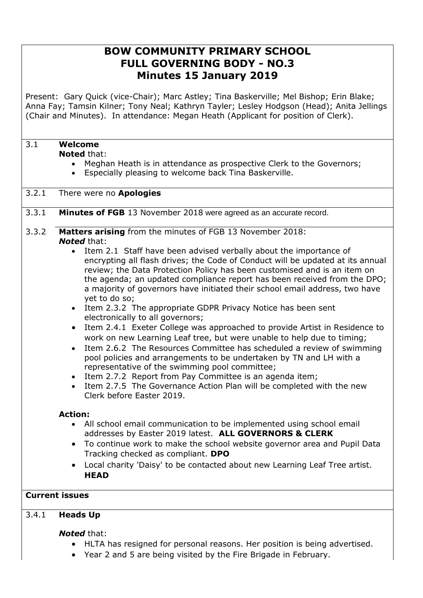# **BOW COMMUNITY PRIMARY SCHOOL FULL GOVERNING BODY - NO.3 Minutes 15 January 2019**

Present: Gary Quick (vice-Chair); Marc Astley; Tina Baskerville; Mel Bishop; Erin Blake; Anna Fay; Tamsin Kilner; Tony Neal; Kathryn Tayler; Lesley Hodgson (Head); Anita Jellings (Chair and Minutes). In attendance: Megan Heath (Applicant for position of Clerk).

# 3.1 **Welcome**

**Noted** that:

- Meghan Heath is in attendance as prospective Clerk to the Governors;
- Especially pleasing to welcome back Tina Baskerville.

## 3.2.1 There were no **Apologies**

## 3.3.1 **Minutes of FGB** 13 November 2018 were agreed as an accurate record.

## 3.3.2 **Matters arising** from the minutes of FGB 13 November 2018: *Noted* that:

- Item 2.1 Staff have been advised verbally about the importance of encrypting all flash drives; the Code of Conduct will be updated at its annual review; the Data Protection Policy has been customised and is an item on the agenda; an updated compliance report has been received from the DPO; a majority of governors have initiated their school email address, two have yet to do so;
- Item 2.3.2 The appropriate GDPR Privacy Notice has been sent electronically to all governors;
- Item 2.4.1 Exeter College was approached to provide Artist in Residence to work on new Learning Leaf tree, but were unable to help due to timing;
- Item 2.6.2 The Resources Committee has scheduled a review of swimming pool policies and arrangements to be undertaken by TN and LH with a representative of the swimming pool committee;
- Item 2.7.2 Report from Pay Committee is an agenda item;
- Item 2.7.5 The Governance Action Plan will be completed with the new Clerk before Easter 2019.

# **Action:**

- All school email communication to be implemented using school email addresses by Easter 2019 latest. **ALL GOVERNORS & CLERK**
- To continue work to make the school website governor area and Pupil Data Tracking checked as compliant. **DPO**
- Local charity 'Daisy' to be contacted about new Learning Leaf Tree artist. **HEAD**

# **Current issues**

# 3.4.1 **Heads Up**

# *Noted* that:

- HLTA has resigned for personal reasons. Her position is being advertised.
- Year 2 and 5 are being visited by the Fire Brigade in February.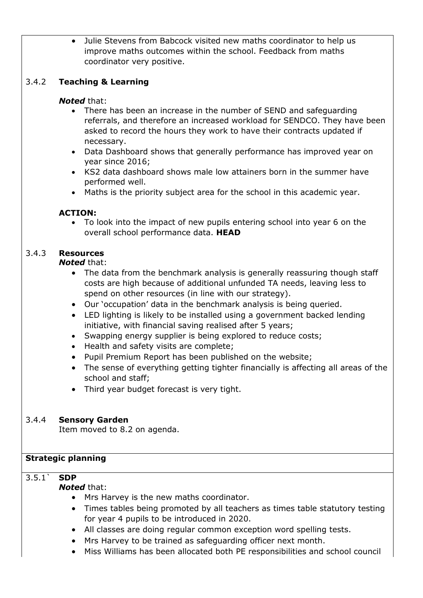Julie Stevens from Babcock visited new maths coordinator to help us improve maths outcomes within the school. Feedback from maths coordinator very positive.

# 3.4.2 **Teaching & Learning**

### *Noted* that:

- There has been an increase in the number of SEND and safeguarding referrals, and therefore an increased workload for SENDCO. They have been asked to record the hours they work to have their contracts updated if necessary.
- Data Dashboard shows that generally performance has improved year on year since 2016;
- KS2 data dashboard shows male low attainers born in the summer have performed well.
- Maths is the priority subject area for the school in this academic year.

#### **ACTION:**

 To look into the impact of new pupils entering school into year 6 on the overall school performance data. **HEAD**

## 3.4.3 **Resources**

#### *Noted* that:

- The data from the benchmark analysis is generally reassuring though staff costs are high because of additional unfunded TA needs, leaving less to spend on other resources (in line with our strategy).
- Our 'occupation' data in the benchmark analysis is being queried.
- LED lighting is likely to be installed using a government backed lending initiative, with financial saving realised after 5 years;
- Swapping energy supplier is being explored to reduce costs;
- Health and safety visits are complete;
- Pupil Premium Report has been published on the website;
- The sense of everything getting tighter financially is affecting all areas of the school and staff;
- Third year budget forecast is very tight.

#### 3.4.4 **Sensory Garden**

Item moved to 8.2 on agenda.

#### **Strategic planning**

# 3.5.1` **SDP**

#### *Noted* that:

- Mrs Harvey is the new maths coordinator.
- Times tables being promoted by all teachers as times table statutory testing for year 4 pupils to be introduced in 2020.
- All classes are doing regular common exception word spelling tests.
- Mrs Harvey to be trained as safeguarding officer next month.
- Miss Williams has been allocated both PE responsibilities and school council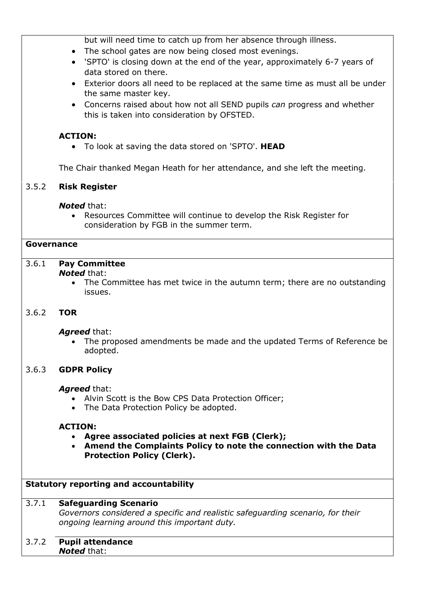but will need time to catch up from her absence through illness.

- The school gates are now being closed most evenings.
- 'SPTO' is closing down at the end of the year, approximately 6-7 years of data stored on there.
- Exterior doors all need to be replaced at the same time as must all be under the same master key.
- Concerns raised about how not all SEND pupils *can* progress and whether this is taken into consideration by OFSTED.

# **ACTION:**

To look at saving the data stored on 'SPTO'. **HEAD**

The Chair thanked Megan Heath for her attendance, and she left the meeting.

## 3.5.2 **Risk Register**

#### *Noted* that:

 Resources Committee will continue to develop the Risk Register for consideration by FGB in the summer term.

#### **Governance**

## 3.6.1 **Pay Committee**

#### *Noted* that:

 The Committee has met twice in the autumn term; there are no outstanding issues.

#### 3.6.2 **TOR**

#### *Agreed* that:

 The proposed amendments be made and the updated Terms of Reference be adopted.

#### 3.6.3 **GDPR Policy**

#### *Agreed* that:

- Alvin Scott is the Bow CPS Data Protection Officer;
- The Data Protection Policy be adopted.

#### **ACTION:**

- **Agree associated policies at next FGB (Clerk);**
- **Amend the Complaints Policy to note the connection with the Data Protection Policy (Clerk).**

#### **Statutory reporting and accountability**

#### 3.7.1 **Safeguarding Scenario**

*Governors considered a specific and realistic safeguarding scenario, for their ongoing learning around this important duty.*

# 3.7.2 **Pupil attendance**

*Noted* that: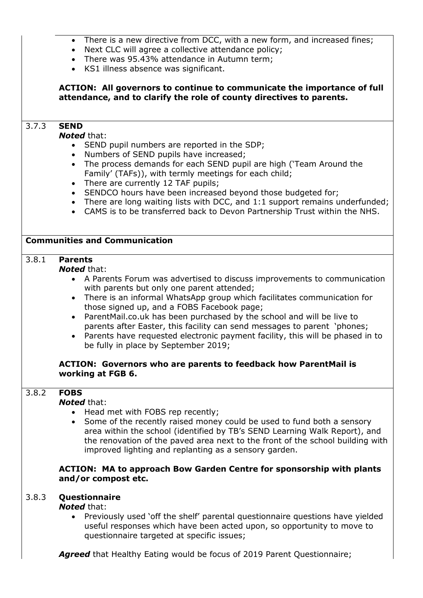- There is a new directive from DCC, with a new form, and increased fines;
- Next CLC will agree a collective attendance policy;
- There was 95.43% attendance in Autumn term;
- KS1 illness absence was significant.

## **ACTION: All governors to continue to communicate the importance of full attendance, and to clarify the role of county directives to parents.**

# 3.7.3 **SEND**

#### *Noted* that:

- SEND pupil numbers are reported in the SDP;
- Numbers of SEND pupils have increased;
- The process demands for each SEND pupil are high ('Team Around the Family' (TAFs)), with termly meetings for each child;
- There are currently 12 TAF pupils;
- SENDCO hours have been increased beyond those budgeted for;
- There are long waiting lists with DCC, and 1:1 support remains underfunded;
- CAMS is to be transferred back to Devon Partnership Trust within the NHS.

#### **Communities and Communication**

# 3.8.1 **Parents**

#### *Noted* that:

- A Parents Forum was advertised to discuss improvements to communication with parents but only one parent attended;
- There is an informal WhatsApp group which facilitates communication for those signed up, and a FOBS Facebook page;
- ParentMail.co.uk has been purchased by the school and will be live to parents after Easter, this facility can send messages to parent 'phones;
- Parents have requested electronic payment facility, this will be phased in to be fully in place by September 2019;

#### **ACTION: Governors who are parents to feedback how ParentMail is working at FGB 6.**

#### 3.8.2 **FOBS**

#### *Noted* that:

- Head met with FOBS rep recently;
- Some of the recently raised money could be used to fund both a sensory area within the school (identified by TB's SEND Learning Walk Report), and the renovation of the paved area next to the front of the school building with improved lighting and replanting as a sensory garden.

#### **ACTION: MA to approach Bow Garden Centre for sponsorship with plants and/or compost etc.**

# 3.8.3 **Questionnaire**

#### *Noted* that:

 Previously used 'off the shelf' parental questionnaire questions have yielded useful responses which have been acted upon, so opportunity to move to questionnaire targeted at specific issues;

*Agreed* that Healthy Eating would be focus of 2019 Parent Questionnaire;